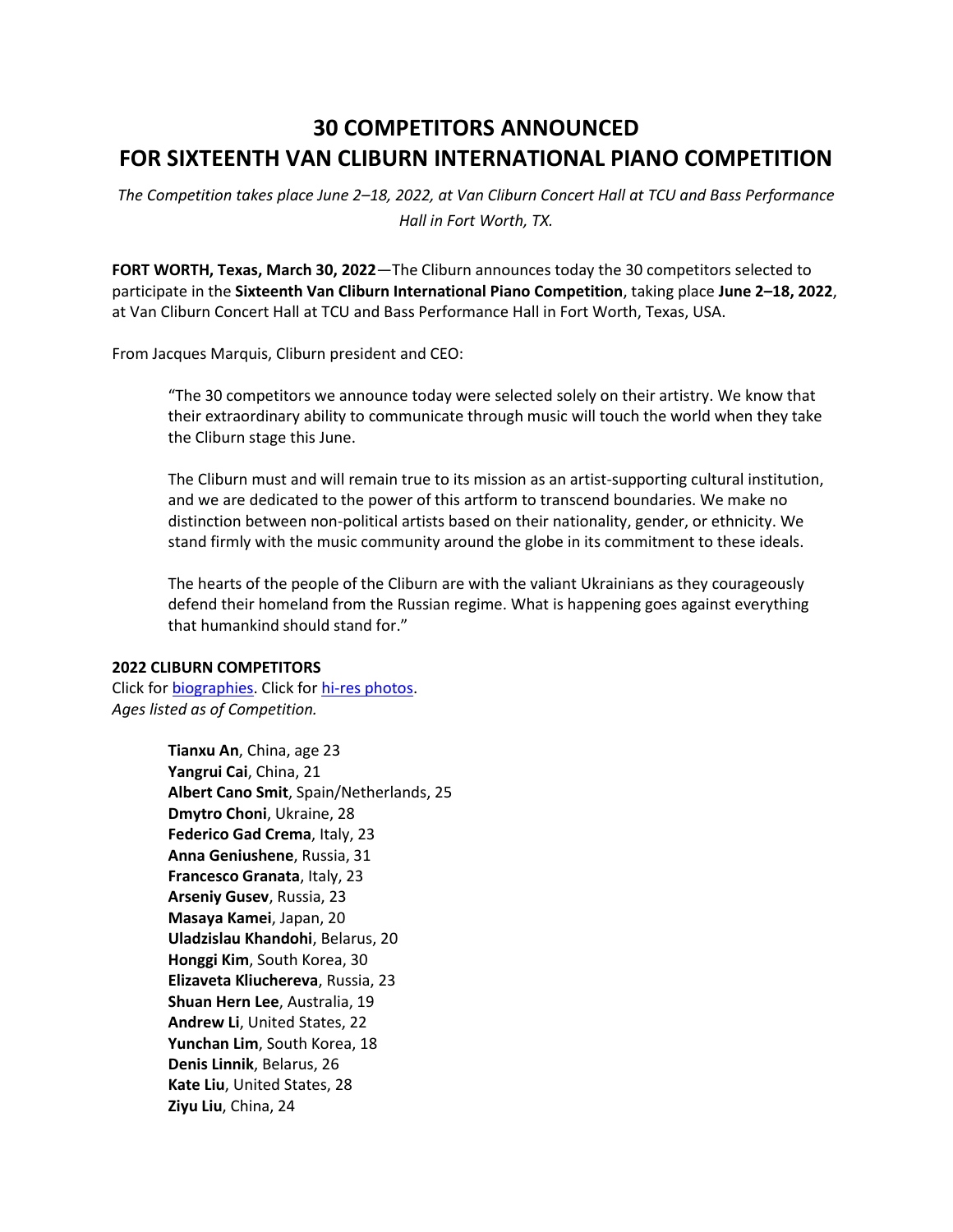# **30 COMPETITORS ANNOUNCED FOR SIXTEENTH VAN CLIBURN INTERNATIONAL PIANO COMPETITION**

*The Competition takes place June 2–18, 2022, at Van Cliburn Concert Hall at TCU and Bass Performance Hall in Fort Worth, TX.* 

**FORT WORTH, Texas, March 30, 2022**—The Cliburn announces today the 30 competitors selected to participate in the **Sixteenth Van Cliburn International Piano Competition**, taking place **June 2–18, 2022**, at Van Cliburn Concert Hall at TCU and Bass Performance Hall in Fort Worth, Texas, USA.

From Jacques Marquis, Cliburn president and CEO:

"The 30 competitors we announce today were selected solely on their artistry. We know that their extraordinary ability to communicate through music will touch the world when they take the Cliburn stage this June.

The Cliburn must and will remain true to its mission as an artist-supporting cultural institution, and we are dedicated to the power of this artform to transcend boundaries. We make no distinction between non-political artists based on their nationality, gender, or ethnicity. We stand firmly with the music community around the globe in its commitment to these ideals.

The hearts of the people of the Cliburn are with the valiant Ukrainians as they courageously defend their homeland from the Russian regime. What is happening goes against everything that humankind should stand for."

#### **2022 CLIBURN COMPETITORS**

Click for [biographies.](https://cliburn.org/2022-competitors/) Click for [hi-res photos.](https://photos.app.goo.gl/MnNY3rFU1M7tqLCi9) *Ages listed as of Competition.*

> **Tianxu An**, China, age 23 **Yangrui Cai**, China, 21 **Albert Cano Smit**, Spain/Netherlands, 25 **Dmytro Choni**, Ukraine, 28 **Federico Gad Crema**, Italy, 23 **Anna Geniushene**, Russia, 31 **Francesco Granata**, Italy, 23 **Arseniy Gusev**, Russia, 23 **Masaya Kamei**, Japan, 20 **Uladzislau Khandohi**, Belarus, 20 **Honggi Kim**, South Korea, 30 **Elizaveta Kliuchereva**, Russia, 23 **Shuan Hern Lee**, Australia, 19 **Andrew Li**, United States, 22 **Yunchan Lim**, South Korea, 18 **Denis Linnik**, Belarus, 26 **Kate Liu**, United States, 28 **Ziyu Liu**, China, 24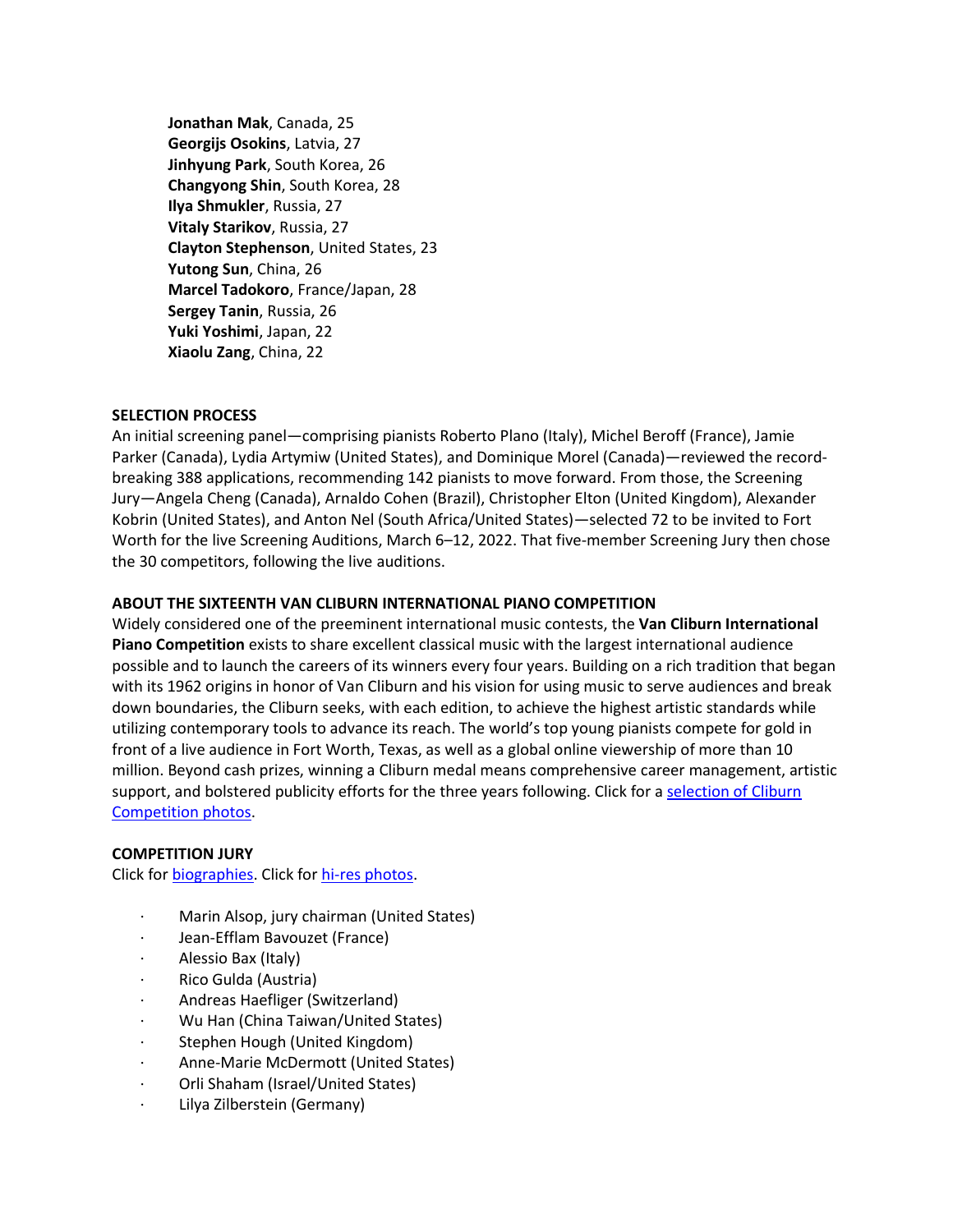**Jonathan Mak**, Canada, 25 **Georgijs Osokins**, Latvia, 27 **Jinhyung Park**, South Korea, 26 **Changyong Shin**, South Korea, 28 **Ilya Shmukler**, Russia, 27 **Vitaly Starikov**, Russia, 27 **Clayton Stephenson**, United States, 23 **Yutong Sun**, China, 26 **Marcel Tadokoro**, France/Japan, 28 **Sergey Tanin**, Russia, 26 **Yuki Yoshimi**, Japan, 22 **Xiaolu Zang**, China, 22

## **SELECTION PROCESS**

An initial screening panel—comprising pianists Roberto Plano (Italy), Michel Beroff (France), Jamie Parker (Canada), Lydia Artymiw (United States), and Dominique Morel (Canada)—reviewed the recordbreaking 388 applications, recommending 142 pianists to move forward. From those, the Screening Jury—Angela Cheng (Canada), Arnaldo Cohen (Brazil), Christopher Elton (United Kingdom), Alexander Kobrin (United States), and Anton Nel (South Africa/United States)—selected 72 to be invited to Fort Worth for the live Screening Auditions, March 6–12, 2022. That five-member Screening Jury then chose the 30 competitors, following the live auditions.

## **ABOUT THE SIXTEENTH VAN CLIBURN INTERNATIONAL PIANO COMPETITION**

Widely considered one of the preeminent international music contests, the **Van Cliburn International Piano Competition** exists to share excellent classical music with the largest international audience possible and to launch the careers of its winners every four years. Building on a rich tradition that began with its 1962 origins in honor of Van Cliburn and his vision for using music to serve audiences and break down boundaries, the Cliburn seeks, with each edition, to achieve the highest artistic standards while utilizing contemporary tools to advance its reach. The world's top young pianists compete for gold in front of a live audience in Fort Worth, Texas, as well as a global online viewership of more than 10 million. Beyond cash prizes, winning a Cliburn medal means comprehensive career management, artistic support, and bolstered publicity efforts for the three years following. Click for a selection of Cliburn [Competition photos.](https://photos.app.goo.gl/V2QNhNfvk7g1ERQU7)

## **COMPETITION JURY**

Click for [biographies.](https://cliburn.org/2022-competition-jury/) Click for [hi-res photos.](https://photos.app.goo.gl/gB4uaZoXQnc1vsyf7)

- · Marin Alsop, jury chairman (United States)
- · Jean-Efflam Bavouzet (France)
- · Alessio Bax (Italy)
- · Rico Gulda (Austria)
- · Andreas Haefliger (Switzerland)
- · Wu Han (China Taiwan/United States)
- Stephen Hough (United Kingdom)
- · Anne-Marie McDermott (United States)
- · Orli Shaham (Israel/United States)
- · Lilya Zilberstein (Germany)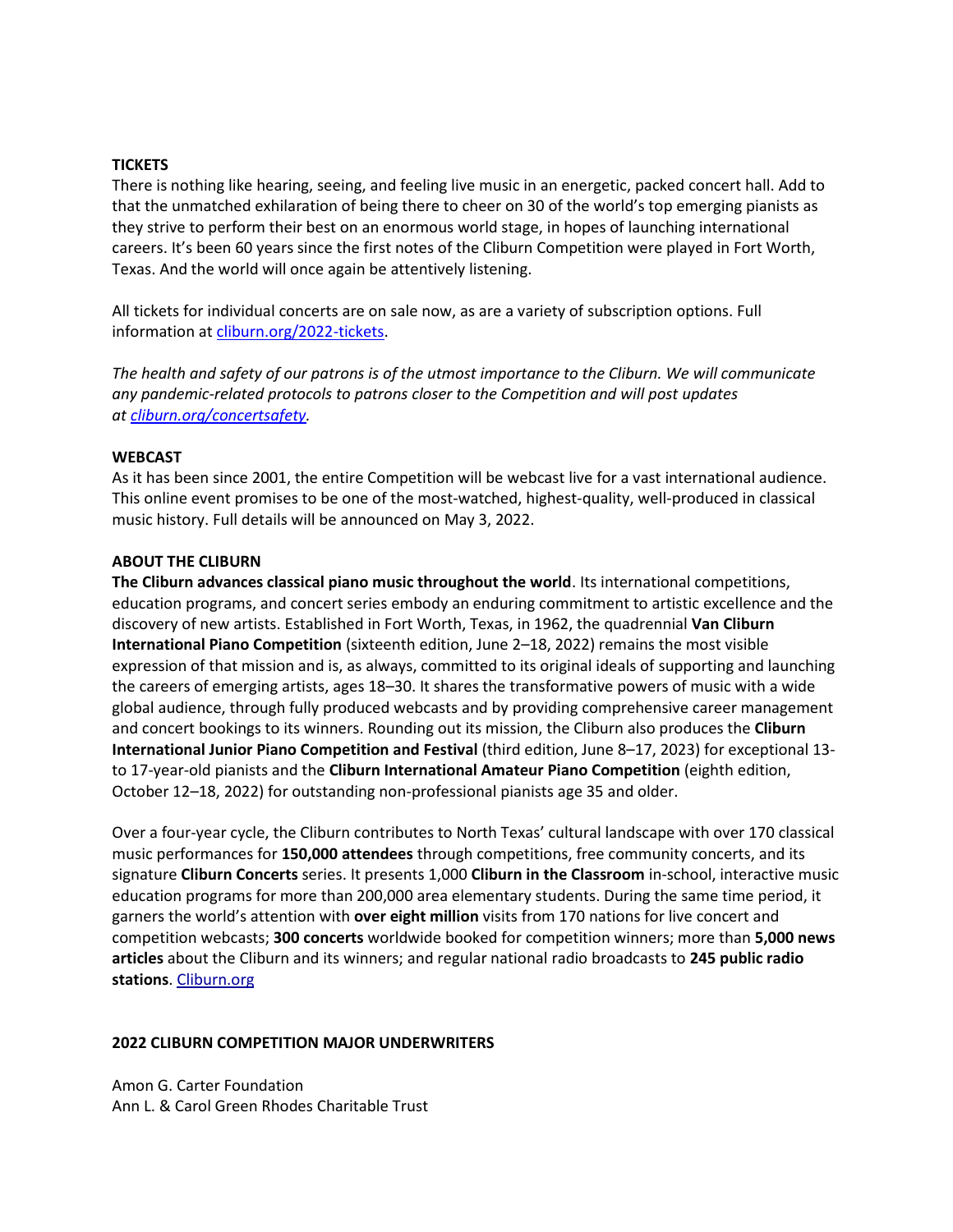### **TICKETS**

There is nothing like hearing, seeing, and feeling live music in an energetic, packed concert hall. Add to that the unmatched exhilaration of being there to cheer on 30 of the world's top emerging pianists as they strive to perform their best on an enormous world stage, in hopes of launching international careers. It's been 60 years since the first notes of the Cliburn Competition were played in Fort Worth, Texas. And the world will once again be attentively listening.

All tickets for individual concerts are on sale now, as are a variety of subscription options. Full information at [cliburn.org/2022-tickets.](https://cliburn.org/2022-tickets/)

*The health and safety of our patrons is of the utmost importance to the Cliburn. We will communicate any pandemic-related protocols to patrons closer to the Competition and will post updates at [cliburn.org/concertsafety.](https://cliburn.org/concertsafety/)*

#### **WEBCAST**

As it has been since 2001, the entire Competition will be webcast live for a vast international audience. This online event promises to be one of the most-watched, highest-quality, well-produced in classical music history. Full details will be announced on May 3, 2022.

## **ABOUT THE CLIBURN**

**The Cliburn advances classical piano music throughout the world**. Its international competitions, education programs, and concert series embody an enduring commitment to artistic excellence and the discovery of new artists. Established in Fort Worth, Texas, in 1962, the quadrennial **Van Cliburn International Piano Competition** (sixteenth edition, June 2–18, 2022) remains the most visible expression of that mission and is, as always, committed to its original ideals of supporting and launching the careers of emerging artists, ages 18–30. It shares the transformative powers of music with a wide global audience, through fully produced webcasts and by providing comprehensive career management and concert bookings to its winners. Rounding out its mission, the Cliburn also produces the **Cliburn International Junior Piano Competition and Festival** (third edition, June 8–17, 2023) for exceptional 13 to 17-year-old pianists and the **Cliburn International Amateur Piano Competition** (eighth edition, October 12–18, 2022) for outstanding non-professional pianists age 35 and older.

Over a four-year cycle, the Cliburn contributes to North Texas' cultural landscape with over 170 classical music performances for **150,000 attendees** through competitions, free community concerts, and its signature **Cliburn Concerts** series. It presents 1,000 **Cliburn in the Classroom** in-school, interactive music education programs for more than 200,000 area elementary students. During the same time period, it garners the world's attention with **over eight million** visits from 170 nations for live concert and competition webcasts; **300 concerts** worldwide booked for competition winners; more than **5,000 news articles** about the Cliburn and its winners; and regular national radio broadcasts to **245 public radio stations**. [Cliburn.org](https://cliburn.org/)

#### **2022 CLIBURN COMPETITION MAJOR UNDERWRITERS**

Amon G. Carter Foundation Ann L. & Carol Green Rhodes Charitable Trust